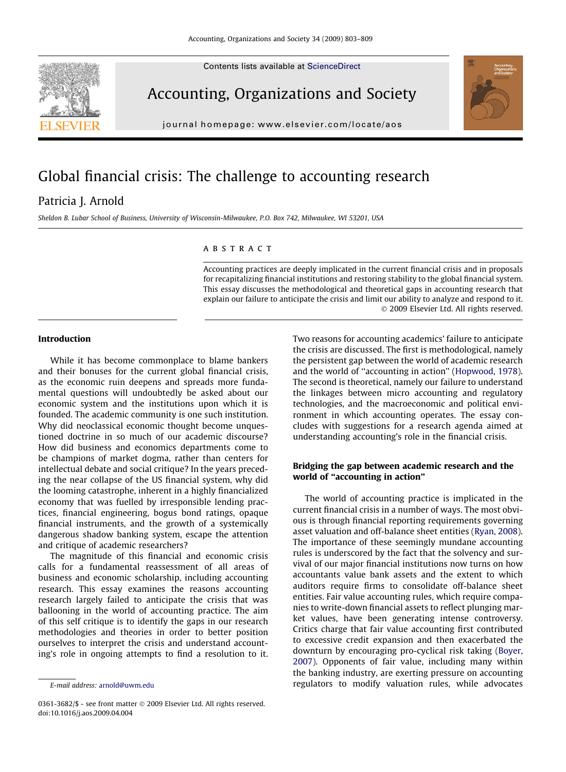Contents lists available at [ScienceDirect](http://www.sciencedirect.com/science/journal/03613682)





Accounting, Organizations and Society

journal homepage: [www.elsevier.com/locate/aos](http://www.elsevier.com/locate/aos)

# Global financial crisis: The challenge to accounting research

## Patricia J. Arnold

Sheldon B. Lubar School of Business, University of Wisconsin-Milwaukee, P.O. Box 742, Milwaukee, WI 53201, USA

### ABSTRACT

Accounting practices are deeply implicated in the current financial crisis and in proposals for recapitalizing financial institutions and restoring stability to the global financial system. This essay discusses the methodological and theoretical gaps in accounting research that explain our failure to anticipate the crisis and limit our ability to analyze and respond to it. - 2009 Elsevier Ltd. All rights reserved.

### Introduction

While it has become commonplace to blame bankers and their bonuses for the current global financial crisis, as the economic ruin deepens and spreads more fundamental questions will undoubtedly be asked about our economic system and the institutions upon which it is founded. The academic community is one such institution. Why did neoclassical economic thought become unquestioned doctrine in so much of our academic discourse? How did business and economics departments come to be champions of market dogma, rather than centers for intellectual debate and social critique? In the years preceding the near collapse of the US financial system, why did the looming catastrophe, inherent in a highly financialized economy that was fuelled by irresponsible lending practices, financial engineering, bogus bond ratings, opaque financial instruments, and the growth of a systemically dangerous shadow banking system, escape the attention and critique of academic researchers?

The magnitude of this financial and economic crisis calls for a fundamental reassessment of all areas of business and economic scholarship, including accounting research. This essay examines the reasons accounting research largely failed to anticipate the crisis that was ballooning in the world of accounting practice. The aim of this self critique is to identify the gaps in our research methodologies and theories in order to better position ourselves to interpret the crisis and understand accounting's role in ongoing attempts to find a resolution to it.

Two reasons for accounting academics' failure to anticipate the crisis are discussed. The first is methodological, namely the persistent gap between the world of academic research and the world of ''accounting in action'' [\(Hopwood, 1978](#page--1-0)). The second is theoretical, namely our failure to understand the linkages between micro accounting and regulatory technologies, and the macroeconomic and political environment in which accounting operates. The essay concludes with suggestions for a research agenda aimed at understanding accounting's role in the financial crisis.

#### Bridging the gap between academic research and the world of ''accounting in action''

The world of accounting practice is implicated in the current financial crisis in a number of ways. The most obvious is through financial reporting requirements governing asset valuation and off-balance sheet entities ([Ryan, 2008](#page--1-0)). The importance of these seemingly mundane accounting rules is underscored by the fact that the solvency and survival of our major financial institutions now turns on how accountants value bank assets and the extent to which auditors require firms to consolidate off-balance sheet entities. Fair value accounting rules, which require companies to write-down financial assets to reflect plunging market values, have been generating intense controversy. Critics charge that fair value accounting first contributed to excessive credit expansion and then exacerbated the downturn by encouraging pro-cyclical risk taking ([Boyer,](#page--1-0) [2007\)](#page--1-0). Opponents of fair value, including many within the banking industry, are exerting pressure on accounting regulators to modify valuation rules, while advocates

E-mail address: [arnold@uwm.edu](mailto:arnold@uwm.edu)

<sup>0361-3682/\$ -</sup> see front matter © 2009 Elsevier Ltd. All rights reserved. doi:10.1016/j.aos.2009.04.004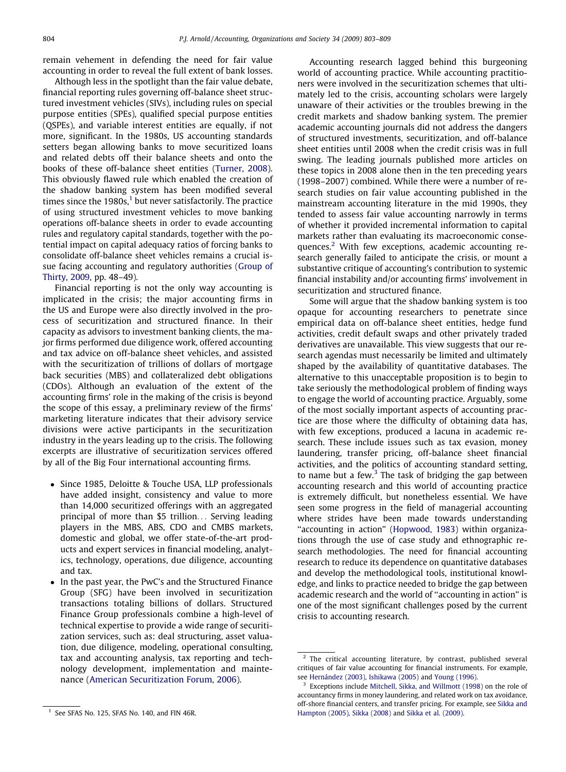remain vehement in defending the need for fair value accounting in order to reveal the full extent of bank losses.

Although less in the spotlight than the fair value debate, financial reporting rules governing off-balance sheet structured investment vehicles (SIVs), including rules on special purpose entities (SPEs), qualified special purpose entities (QSPEs), and variable interest entities are equally, if not more, significant. In the 1980s, US accounting standards setters began allowing banks to move securitized loans and related debts off their balance sheets and onto the books of these off-balance sheet entities [\(Turner, 2008](#page--1-0)). This obviously flawed rule which enabled the creation of the shadow banking system has been modified several times since the  $1980s$ ,<sup>1</sup> but never satisfactorily. The practice of using structured investment vehicles to move banking operations off-balance sheets in order to evade accounting rules and regulatory capital standards, together with the potential impact on capital adequacy ratios of forcing banks to consolidate off-balance sheet vehicles remains a crucial issue facing accounting and regulatory authorities [\(Group of](#page--1-0) [Thirty, 2009](#page--1-0), pp. 48–49).

Financial reporting is not the only way accounting is implicated in the crisis; the major accounting firms in the US and Europe were also directly involved in the process of securitization and structured finance. In their capacity as advisors to investment banking clients, the major firms performed due diligence work, offered accounting and tax advice on off-balance sheet vehicles, and assisted with the securitization of trillions of dollars of mortgage back securities (MBS) and collateralized debt obligations (CDOs). Although an evaluation of the extent of the accounting firms' role in the making of the crisis is beyond the scope of this essay, a preliminary review of the firms' marketing literature indicates that their advisory service divisions were active participants in the securitization industry in the years leading up to the crisis. The following excerpts are illustrative of securitization services offered by all of the Big Four international accounting firms.

- Since 1985, Deloitte & Touche USA, LLP professionals have added insight, consistency and value to more than 14,000 securitized offerings with an aggregated principal of more than \$5 trillion... Serving leading players in the MBS, ABS, CDO and CMBS markets, domestic and global, we offer state-of-the-art products and expert services in financial modeling, analytics, technology, operations, due diligence, accounting and tax.
- In the past year, the PwC's and the Structured Finance Group (SFG) have been involved in securitization transactions totaling billions of dollars. Structured Finance Group professionals combine a high-level of technical expertise to provide a wide range of securitization services, such as: deal structuring, asset valuation, due diligence, modeling, operational consulting, tax and accounting analysis, tax reporting and technology development, implementation and maintenance [\(American Securitization Forum, 2006\)](#page--1-0).

Accounting research lagged behind this burgeoning world of accounting practice. While accounting practitioners were involved in the securitization schemes that ultimately led to the crisis, accounting scholars were largely unaware of their activities or the troubles brewing in the credit markets and shadow banking system. The premier academic accounting journals did not address the dangers of structured investments, securitization, and off-balance sheet entities until 2008 when the credit crisis was in full swing. The leading journals published more articles on these topics in 2008 alone then in the ten preceding years (1998–2007) combined. While there were a number of research studies on fair value accounting published in the mainstream accounting literature in the mid 1990s, they tended to assess fair value accounting narrowly in terms of whether it provided incremental information to capital markets rather than evaluating its macroeconomic consequences.<sup>2</sup> With few exceptions, academic accounting research generally failed to anticipate the crisis, or mount a substantive critique of accounting's contribution to systemic financial instability and/or accounting firms' involvement in securitization and structured finance.

Some will argue that the shadow banking system is too opaque for accounting researchers to penetrate since empirical data on off-balance sheet entities, hedge fund activities, credit default swaps and other privately traded derivatives are unavailable. This view suggests that our research agendas must necessarily be limited and ultimately shaped by the availability of quantitative databases. The alternative to this unacceptable proposition is to begin to take seriously the methodological problem of finding ways to engage the world of accounting practice. Arguably, some of the most socially important aspects of accounting practice are those where the difficulty of obtaining data has, with few exceptions, produced a lacuna in academic research. These include issues such as tax evasion, money laundering, transfer pricing, off-balance sheet financial activities, and the politics of accounting standard setting, to name but a few. $3$  The task of bridging the gap between accounting research and this world of accounting practice is extremely difficult, but nonetheless essential. We have seen some progress in the field of managerial accounting where strides have been made towards understanding ''accounting in action'' [\(Hopwood, 1983](#page--1-0)) within organizations through the use of case study and ethnographic research methodologies. The need for financial accounting research to reduce its dependence on quantitative databases and develop the methodological tools, institutional knowledge, and links to practice needed to bridge the gap between academic research and the world of ''accounting in action'' is one of the most significant challenges posed by the current crisis to accounting research.

 $1$  See SFAS No. 125, SFAS No. 140, and FIN 46R.

 $2$  The critical accounting literature, by contrast, published several critiques of fair value accounting for financial instruments. For example, see [Hernández \(2003\), Ishikawa \(2005\)](#page--1-0) and [Young \(1996\).](#page--1-0)

Exceptions include [Mitchell, Sikka, and Willmott \(1998\)](#page--1-0) on the role of accountancy firms in money laundering, and related work on tax avoidance, off-shore financial centers, and transfer pricing. For example, see [Sikka and](#page--1-0) [Hampton \(2005\), Sikka \(2008\)](#page--1-0) and [Sikka et al. \(2009\)](#page--1-0).